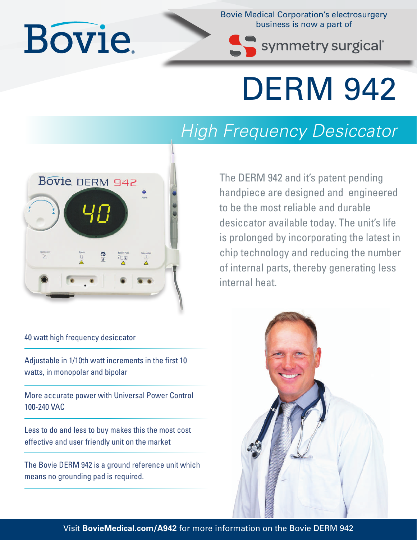## **Bovie**

Bovie Medical Corporation's electrosurgery business is now a part of

symmetry surgical®

## DERM 942

## *High Frequency Desiccator*

The DERM 942 and it's patent pending handpiece are designed and engineered to be the most reliable and durable desiccator available today. The unit's life is prolonged by incorporating the latest in chip technology and reducing the number of internal parts, thereby generating less internal heat.



40 watt high frequency desiccator

Adjustable in 1/10th watt increments in the first 10 watts, in monopolar and bipolar

More accurate power with Universal Power Control 100-240 VAC

Less to do and less to buy makes this the most cost effective and user friendly unit on the market

The Bovie DERM 942 is a ground reference unit which means no grounding pad is required.